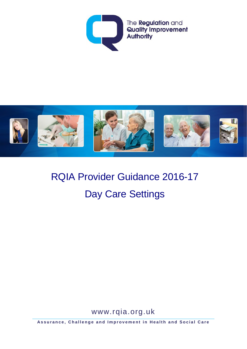



# RQIA Provider Guidance 2016-17 Day Care Settings

www.rqia.org.uk

**Assurance, Challenge and Improvement in Health and Social Care**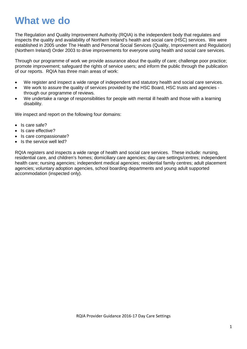## **What we do**

The Regulation and Quality Improvement Authority (RQIA) is the independent body that regulates and inspects the quality and availability of Northern Ireland's health and social care (HSC) services. We were established in 2005 under The Health and Personal Social Services (Quality, Improvement and Regulation) (Northern Ireland) Order 2003 to drive improvements for everyone using health and social care services.

Through our programme of work we provide assurance about the quality of care; challenge poor practice; promote improvement; safeguard the rights of service users; and inform the public through the publication of our reports. RQIA has three main areas of work:

- We register and inspect a wide range of independent and statutory health and social care services.
- We work to assure the quality of services provided by the HSC Board, HSC trusts and agencies through our programme of reviews.
- We undertake a range of responsibilities for people with mental ill health and those with a learning disability.

We inspect and report on the following four domains:

- Is care safe?
- Is care effective?
- Is care compassionate?
- Is the service well led?

RQIA registers and inspects a wide range of health and social care services. These include: nursing, residential care, and children's homes; domiciliary care agencies; day care settings/centres; independent health care; nursing agencies; independent medical agencies; residential family centres; adult placement agencies; voluntary adoption agencies, school boarding departments and young adult supported accommodation (inspected only).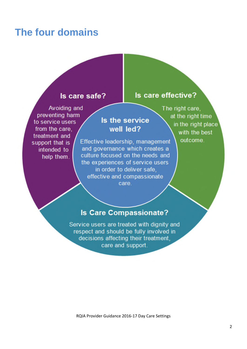## **The four domains**

#### Is care safe?

### Avoiding and preventing harm to service users from the care. treatment and support that is intended to help them.

### Is the service well led?

Effective leadership, management and governance which creates a culture focused on the needs and the experiences of service users in order to deliver safe, effective and compassionate care.

### Is care effective?

The right care, at the right time in the right place with the best outcome.

### **Is Care Compassionate?**

Service users are treated with dignity and respect and should be fully involved in decisions affecting their treatment. care and support.

RQIA Provider Guidance 2016-17 Day Care Settings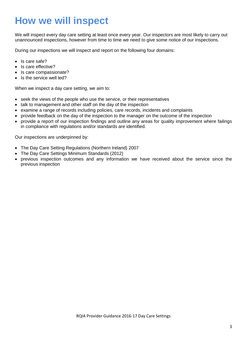## **How we will inspect**

We will inspect every day care setting at least once every year. Our inspectors are most likely to carry out unannounced inspections, however from time to time we need to give some notice of our inspections.

During our inspections we will inspect and report on the following four domains:

- Is care safe?
- Is care effective?
- Is care compassionate?
- Is the service well led?

When we inspect a day care setting, we aim to:

- seek the views of the people who use the service, or their representatives
- talk to management and other staff on the day of the inspection
- examine a range of records including policies, care records, incidents and complaints
- provide feedback on the day of the inspection to the manager on the outcome of the inspection
- provide a report of our inspection findings and outline any areas for quality improvement where failings in compliance with regulations and/or standards are identified.

Our inspections are underpinned by:

- The Day Care Setting Regulations (Northern Ireland) 2007
- The Day Care Settings Minimum Standards (2012)
- previous inspection outcomes and any information we have received about the service since the previous inspection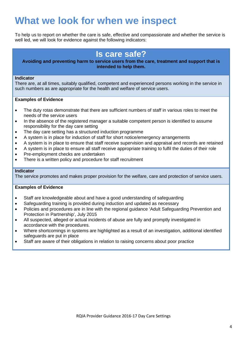## **What we look for when we inspect**

To help us to report on whether the care is safe, effective and compassionate and whether the service is well led, we will look for evidence against the following indicators:

## **Is care safe?**

#### **Avoiding and preventing harm to service users from the care, treatment and support that is intended to help them.**

#### **Indicator**

There are, at all times, suitably qualified, competent and experienced persons working in the service in such numbers as are appropriate for the health and welfare of service users.

#### **Examples of Evidence**

- The duty rotas demonstrate that there are sufficient numbers of staff in various roles to meet the needs of the service users
- In the absence of the registered manager a suitable competent person is identified to assume responsibility for the day care setting
- The day care setting has a structured induction programme
- A system is in place for induction of staff for short notice/emergency arrangements
- A system is in place to ensure that staff receive supervision and appraisal and records are retained
- A system is in place to ensure all staff receive appropriate training to fulfil the duties of their role
- Pre-employment checks are undertaken
- There is a written policy and procedure for staff recruitment

#### **Indicator**

The service promotes and makes proper provision for the welfare, care and protection of service users.

- Staff are knowledgeable about and have a good understanding of safeguarding
- Safeguarding training is provided during induction and updated as necessary
- Policies and procedures are in line with the regional guidance 'Adult Safeguarding Prevention and Protection in Partnership', July 2015
- All suspected, alleged or actual incidents of abuse are fully and promptly investigated in accordance with the procedures.
- Where shortcomings in systems are highlighted as a result of an investigation, additional identified safeguards are put in place
- Staff are aware of their obligations in relation to raising concerns about poor practice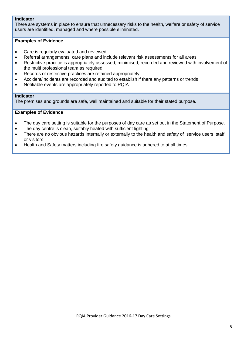#### **Indicator**

There are systems in place to ensure that unnecessary risks to the health, welfare or safety of service users are identified, managed and where possible eliminated.

#### **Examples of Evidence**

- Care is regularly evaluated and reviewed
- Referral arrangements, care plans and include relevant risk assessments for all areas
- Restrictive practice is appropriately assessed, minimised, recorded and reviewed with involvement of the multi professional team as required
- Records of restrictive practices are retained appropriately
- Accident/incidents are recorded and audited to establish if there any patterns or trends
- Notifiable events are appropriately reported to RQIA

#### **Indicator**

The premises and grounds are safe, well maintained and suitable for their stated purpose.

- The day care setting is suitable for the purposes of day care as set out in the Statement of Purpose.
- The day centre is clean, suitably heated with sufficient lighting
- There are no obvious hazards internally or externally to the health and safety of service users, staff or visitors
- Health and Safety matters including fire safety guidance is adhered to at all times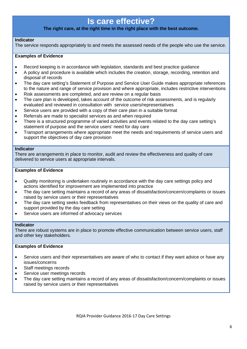## **Is care effective?**

#### **The right care, at the right time in the right place with the best outcome.**

#### **Indicator**

The service responds appropriately to and meets the assessed needs of the people who use the service.

#### **Examples of Evidence**

- Record keeping is in accordance with legislation, standards and best practice guidance
- A policy and procedure is available which includes the creation, storage, recording, retention and disposal of records
- The day care setting's Statement of Purpose and Service User Guide makes appropriate references to the nature and range of service provision and where appropriate, includes restrictive interventions
- Risk assessments are completed, and are review on a regular basis
- The care plan is developed, takes account of the outcome of risk assessments, and is regularly evaluated and reviewed in consultation with service users/representatives
- Service users are provided with a copy of their care plan in a suitable format
- Referrals are made to specialist services as and when required
- There is a structured programme of varied activities and events related to the day care setting's statement of purpose and the service users' need for day care
- Transport arrangements where appropriate meet the needs and requirements of service users and support the objectives of day care provision

#### **Indicator**

There are arrangements in place to monitor, audit and review the effectiveness and quality of care delivered to service users at appropriate intervals.

#### **Examples of Evidence**

- Quality monitoring is undertaken routinely in accordance with the day care settings policy and actions identified for improvement are implemented into practice
- The day care setting maintains a record of any areas of dissatisfaction/concern/complaints or issues raised by service users or their representatives
- The day care setting seeks feedback from representatives on their views on the quality of care and support provided by the day care setting
- Service users are informed of advocacy services

#### **Indicator**

There are robust systems are in place to promote effective communication between service users, staff and other key stakeholders.

- Service users and their representatives are aware of who to contact if they want advice or have any issues/concerns
- Staff meetings records
- Service user meetings records
- The day care setting maintains a record of any areas of dissatisfaction/concern/complaints or issues raised by service users or their representatives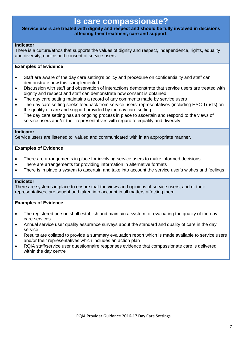### **Is care compassionate?**

#### **Service users are treated with dignity and respect and should be fully involved in decisions affecting their treatment, care and support.**

#### **Indicator**

There is a culture/ethos that supports the values of dignity and respect, independence, rights, equality and diversity, choice and consent of service users.

#### **Examples of Evidence**

- Staff are aware of the day care setting's policy and procedure on confidentiality and staff can demonstrate how this is implemented
- Discussion with staff and observation of interactions demonstrate that service users are treated with dignity and respect and staff can demonstrate how consent is obtained
- The day care setting maintains a record of any comments made by service users
- The day care setting seeks feedback from service users' representatives (including HSC Trusts) on the quality of care and support provided by the day care setting
- The day care setting has an ongoing process in place to ascertain and respond to the views of service users and/or their representatives with regard to equality and diversity

#### **Indicator**

Service users are listened to, valued and communicated with in an appropriate manner.

#### **Examples of Evidence**

- There are arrangements in place for involving service users to make informed decisions
- There are arrangements for providing information in alternative formats
- There is in place a system to ascertain and take into account the service user's wishes and feelings

#### **Indicator**

There are systems in place to ensure that the views and opinions of service users, and or their representatives, are sought and taken into account in all matters affecting them.

- The registered person shall establish and maintain a system for evaluating the quality of the day care services
- Annual service user quality assurance surveys about the standard and quality of care in the day service
- Results are collated to provide a summary evaluation report which is made available to service users and/or their representatives which includes an action plan
- RQIA staff/service user questionnaire responses evidence that compassionate care is delivered within the day centre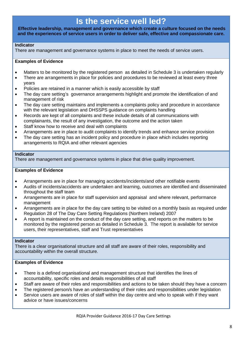## **Is the service well led?**

**Effective leadership, management and governance which create a culture focused on the needs and the experiences of service users in order to deliver safe, effective and compassionate care.**

#### **Indicator**

There are management and governance systems in place to meet the needs of service users.

#### **Examples of Evidence**

- Matters to be monitored by the registered person as detailed in Schedule 3 is undertaken regularly
- There are arrangements in place for policies and procedures to be reviewed at least every three years
- Policies are retained in a manner which is easily accessible by staff
- The day care setting's governance arrangements highlight and promote the identification of and management of risk
- The day care setting maintains and implements a complaints policy and procedure in accordance with the relevant legislation and DHSSPS guidance on complaints handling
- Records are kept of all complaints and these include details of all communications with complainants, the result of any investigation, the outcome and the action taken
- Staff know how to receive and deal with complaints
- Arrangements are in place to audit complaints to identify trends and enhance service provision
- The day care setting has an incident policy and procedure in place which includes reporting arrangements to RQIA and other relevant agencies

#### **Indicator**

There are management and governance systems in place that drive quality improvement.

#### **Examples of Evidence**

- Arrangements are in place for managing accidents/incidents/and other notifiable events
- Audits of incidents/accidents are undertaken and learning, outcomes are identified and disseminated throughout the staff team
- Arrangements are in place for staff supervision and appraisal and where relevant, performance management
- Arrangements are in place for the day care setting to be visited on a monthly basis as required under Regulation 28 of The Day Care Setting Regulations (Northern Ireland) 2007
- A report is maintained on the conduct of the day care setting, and reports on the matters to be monitored by the registered person as detailed in Schedule 3. The report is available for service users, their representatives, staff and Trust representatives

#### **Indicator**

There is a clear organisational structure and all staff are aware of their roles, responsibility and accountability within the overall structure.

- There is a defined organisational and management structure that identifies the lines of accountability, specific roles and details responsibilities of all staff
- Staff are aware of their roles and responsibilities and actions to be taken should they have a concern
- The registered person/s have an understanding of their roles and responsibilities under legislation
- Service users are aware of roles of staff within the day centre and who to speak with if they want advice or have issues/concerns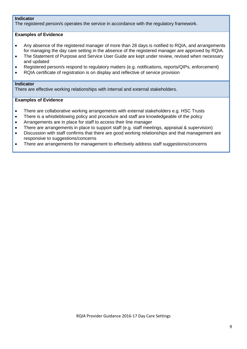#### **Indicator**

The registered person/s operates the service in accordance with the regulatory framework.

#### **Examples of Evidence**

- Any absence of the registered manager of more than 28 days is notified to RQIA, and arrangements for managing the day care setting in the absence of the registered manager are approved by RQIA.
- The Statement of Purpose and Service User Guide are kept under review, revised when necessary and updated
- Registered person/s respond to regulatory matters (e.g. notifications, reports/QIPs, enforcement)
- RQIA certificate of registration is on display and reflective of service provision

#### **Indicator**

There are effective working relationships with internal and external stakeholders.

- There are collaborative working arrangements with external stakeholders e.g. HSC Trusts
- There is a whistleblowing policy and procedure and staff are knowledgeable of the policy
- Arrangements are in place for staff to access their line manager
- There are arrangements in place to support staff (e.g. staff meetings, appraisal & supervision)
- Discussion with staff confirms that there are good working relationships and that management are responsive to suggestions/concerns
- There are arrangements for management to effectively address staff suggestions/concerns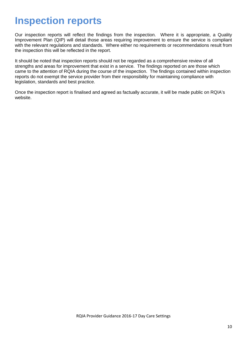## **Inspection reports**

Our inspection reports will reflect the findings from the inspection. Where it is appropriate, a Quality Improvement Plan (QIP) will detail those areas requiring improvement to ensure the service is compliant with the relevant regulations and standards. Where either no requirements or recommendations result from the inspection this will be reflected in the report.

It should be noted that inspection reports should not be regarded as a comprehensive review of all strengths and areas for improvement that exist in a service. The findings reported on are those which came to the attention of RQIA during the course of the inspection. The findings contained within inspection reports do not exempt the service provider from their responsibility for maintaining compliance with legislation, standards and best practice.

Once the inspection report is finalised and agreed as factually accurate, it will be made public on RQIA's website.